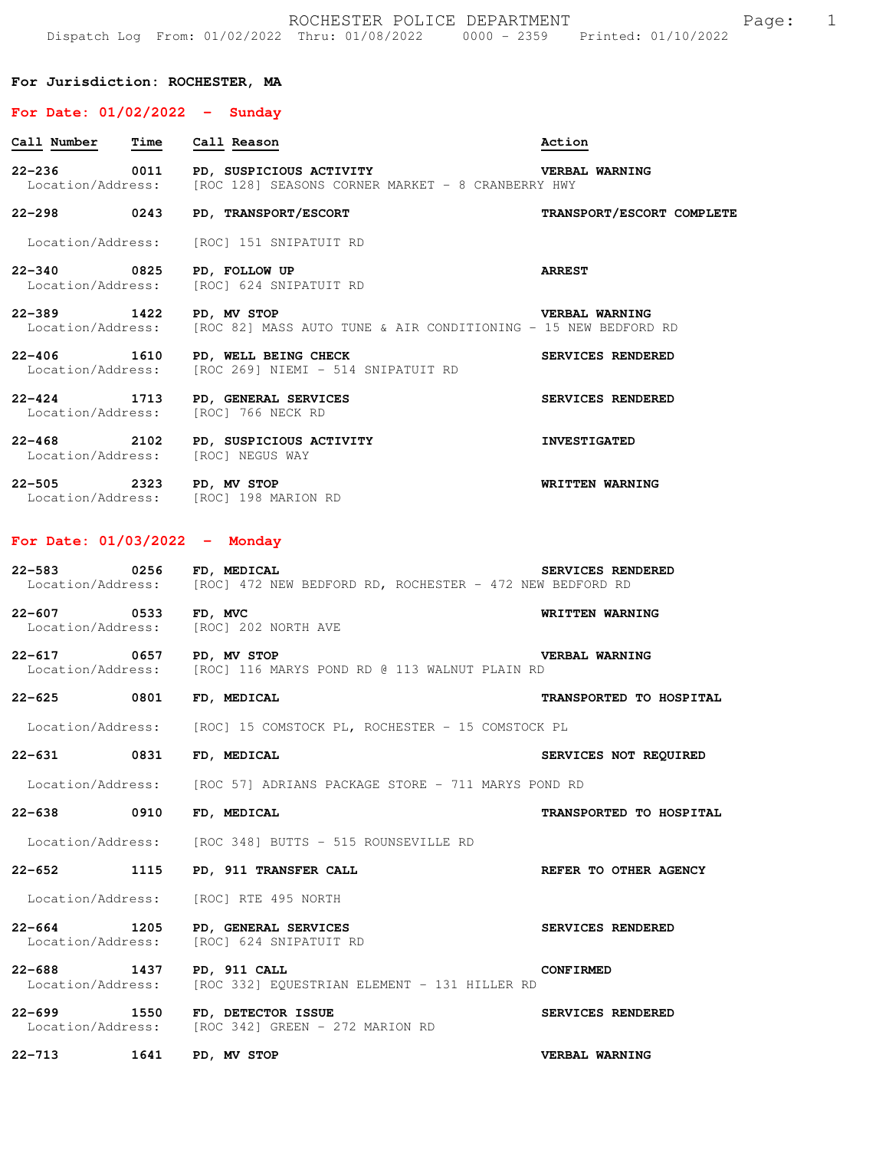## **For Jurisdiction: ROCHESTER, MA**

## **For Date: 01/02/2022 - Sunday**

| rui bace, uijuajauaa            |      |                                                                                                                               |                           |
|---------------------------------|------|-------------------------------------------------------------------------------------------------------------------------------|---------------------------|
| Call Number Time Call Reason    |      |                                                                                                                               | Action                    |
|                                 |      | 22-236 0011 PD, SUSPICIOUS ACTIVITY THE VERBAL WARNING<br>Location/Address: [ROC 128] SEASONS CORNER MARKET - 8 CRANBERRY HWY |                           |
|                                 |      | 22-298 0243 PD, TRANSPORT/ESCORT                                                                                              | TRANSPORT/ESCORT COMPLETE |
|                                 |      | Location/Address: [ROC] 151 SNIPATUIT RD                                                                                      |                           |
| 22-340 0825                     |      | PD, FOLLOW UP<br>Location/Address: [ROC] 624 SNIPATUIT RD                                                                     | <b>ARREST</b>             |
| 22-389 1422 PD, MV STOP         |      | Location/Address: [ROC 82] MASS AUTO TUNE & AIR CONDITIONING - 15 NEW BEDFORD RD                                              | VERBAL WARNING            |
|                                 |      | 22-406 1610 PD, WELL BEING CHECK<br>Location/Address: [ROC 269] NIEMI - 514 SNIPATUIT RD                                      | SERVICES RENDERED         |
|                                 |      | 22-424 1713 PD, GENERAL SERVICES<br>Location/Address: [ROC] 766 NECK RD                                                       | SERVICES RENDERED         |
| $22 - 468$                      |      | 2102 PD, SUSPICIOUS ACTIVITY<br>Location/Address: [ROC] NEGUS WAY                                                             | <b>INVESTIGATED</b>       |
| 22-505 2323 PD, MV STOP         |      | Location/Address: [ROC] 198 MARION RD                                                                                         | WRITTEN WARNING           |
| For Date: $01/03/2022 -$ Monday |      |                                                                                                                               |                           |
| 22-583 0256 FD, MEDICAL         |      | Location/Address: [ROC] 472 NEW BEDFORD RD, ROCHESTER - 472 NEW BEDFORD RD                                                    | SERVICES RENDERED         |
|                                 |      | 22-607 0533 FD, MVC<br>Location/Address: [ROC] 202 NORTH AVE                                                                  | WRITTEN WARNING           |
|                                 |      | 22-617 0657 PD, MV STOP<br>Location/Address: [ROC] 116 MARYS POND RD @ 113 WALNUT PLAIN RD                                    | <b>VERBAL WARNING</b>     |
| 22-625 0801 FD, MEDICAL         |      |                                                                                                                               | TRANSPORTED TO HOSPITAL   |
|                                 |      | Location/Address: [ROC] 15 COMSTOCK PL, ROCHESTER - 15 COMSTOCK PL                                                            |                           |
| 22-631 0831                     |      | FD, MEDICAL                                                                                                                   | SERVICES NOT REQUIRED     |
|                                 |      | Location/Address: [ROC 57] ADRIANS PACKAGE STORE - 711 MARYS POND RD                                                          |                           |
| $22 - 638$                      | 0910 | FD, MEDICAL                                                                                                                   | TRANSPORTED TO HOSPITAL   |
|                                 |      | Location/Address: [ROC 348] BUTTS - 515 ROUNSEVILLE RD                                                                        |                           |
| $22 - 652$                      | 1115 | PD, 911 TRANSFER CALL                                                                                                         | REFER TO OTHER AGENCY     |
| Location/Address:               |      | [ROC] RTE 495 NORTH                                                                                                           |                           |

**22-664 1205 PD, GENERAL SERVICES SERVICES RENDERED**  Location/Address: [ROC] 624 SNIPATUIT RD

**22-688 1437 PD, 911 CALL CONFIRMED**  Location/Address: [ROC 332] EQUESTRIAN ELEMENT - 131 HILLER RD

22-699 1550 FD, DETECTOR ISSUE **1550** SERVICES RENDERED Location/Address: [ROC 342] GREEN - 272 MARION RD

**22-713 1641 PD, MV STOP VERBAL WARNING**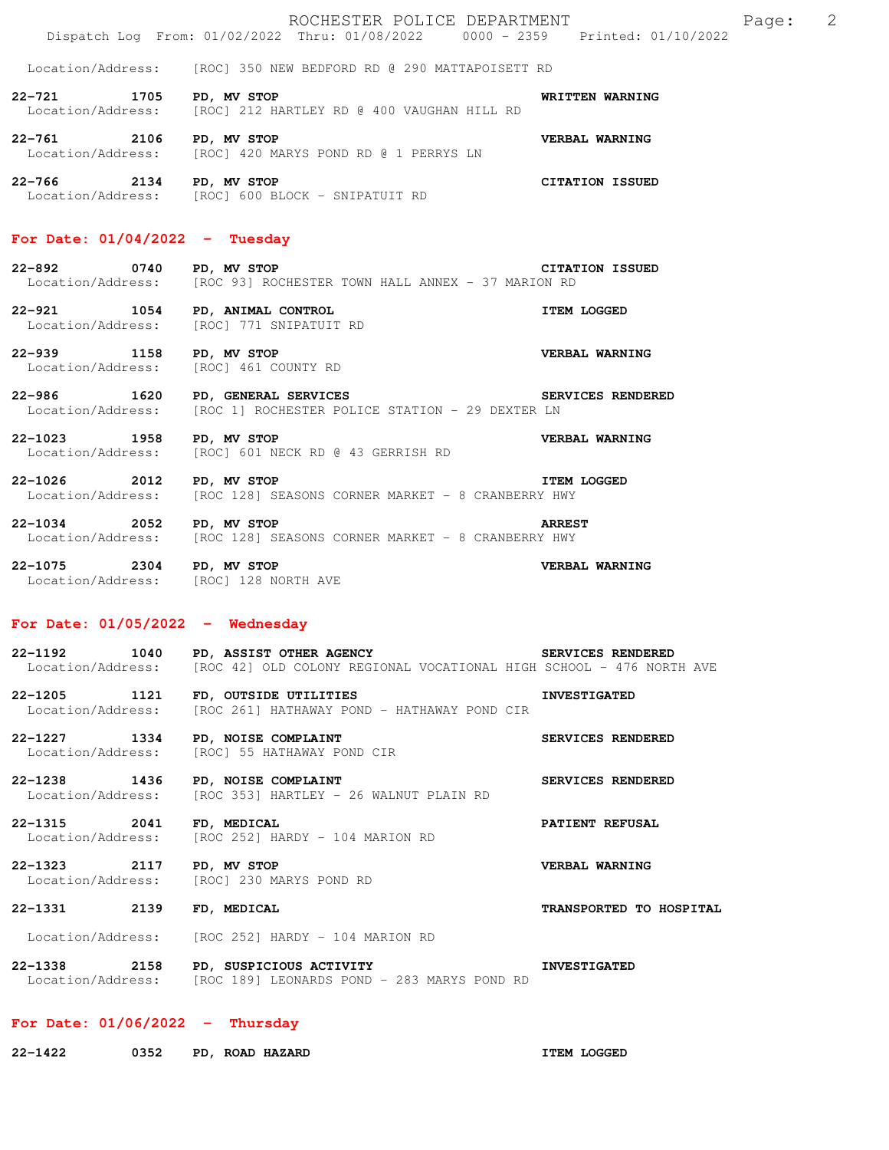| For Date: $01/06/2022 - Thursday$                                 |                                                                                                                             |                                     |  |  |  |
|-------------------------------------------------------------------|-----------------------------------------------------------------------------------------------------------------------------|-------------------------------------|--|--|--|
|                                                                   | 22-1338 2158 PD, SUSPICIOUS ACTIVITY<br>Location/Address: [ROC 189] LEONARDS POND - 283 MARYS POND RD                       | <b>INVESTIGATED</b>                 |  |  |  |
|                                                                   | Location/Address: [ROC 252] HARDY - 104 MARION RD                                                                           |                                     |  |  |  |
| 22-1331 2139 FD, MEDICAL                                          |                                                                                                                             | TRANSPORTED TO HOSPITAL             |  |  |  |
| 22-1323 2117 PD, MV STOP                                          | Location/Address: [ROC] 230 MARYS POND RD                                                                                   | VERBAL WARNING                      |  |  |  |
| 22–1315 2041                                                      | <b>FD, MEDICAL</b><br>Location/Address: [ROC 252] HARDY - 104 MARION RD                                                     | <b>PATIENT REFUSAL</b>              |  |  |  |
| 22-1238 1436                                                      | PD, NOISE COMPLAINT<br>Location/Address: [ROC 353] HARTLEY - 26 WALNUT PLAIN RD                                             | SERVICES RENDERED                   |  |  |  |
| 22–1227 1334<br>Location/Address:                                 | PD, NOISE COMPLAINT<br>[ROC] 55 HATHAWAY POND CIR                                                                           | SERVICES RENDERED                   |  |  |  |
| 22-1205 1121<br>Location/Address:                                 | FD, OUTSIDE UTILITIES<br>[ROC 261] HATHAWAY POND - HATHAWAY POND CIR                                                        | <b>INVESTIGATED</b>                 |  |  |  |
| Location/Address:                                                 | 22-1192 1040 PD, ASSIST OTHER AGENCY<br>[ROC 42] OLD COLONY REGIONAL VOCATIONAL HIGH SCHOOL - 476 NORTH AVE                 | SERVICES RENDERED                   |  |  |  |
| For Date: $01/05/2022 -$ Wednesday                                |                                                                                                                             |                                     |  |  |  |
| 22-1075 2304 PD, MV STOP<br>Location/Address: [ROC] 128 NORTH AVE |                                                                                                                             | VERBAL WARNING                      |  |  |  |
| 22-1034 2052 PD, MV STOP                                          | Location/Address: [ROC 128] SEASONS CORNER MARKET - 8 CRANBERRY HWY                                                         | <b>ARREST</b>                       |  |  |  |
| 22-1026 2012 PD, MV STOP                                          | <b>ITEM LOGGED</b><br>Location/Address: [ROC 128] SEASONS CORNER MARKET - 8 CRANBERRY HWY                                   |                                     |  |  |  |
| 22-1023 1958 PD, MV STOP                                          | Location/Address: [ROC] 601 NECK RD @ 43 GERRISH RD                                                                         | VERBAL WARNING                      |  |  |  |
|                                                                   | 22-986 1620 PD, GENERAL SERVICES NET SERVICES RENDERED<br>Location/Address: [ROC 1] ROCHESTER POLICE STATION - 29 DEXTER LN |                                     |  |  |  |
| 22-939 1158 PD, MV STOP<br>Location/Address: [ROC] 461 COUNTY RD  |                                                                                                                             | VERBAL WARNING                      |  |  |  |
| 22-921 1054 PD, ANIMAL CONTROL                                    | Location/Address: [ROC] 771 SNIPATUIT RD                                                                                    | <b>ITEM LOGGED</b>                  |  |  |  |
| 22-892 0740 PD, MV STOP                                           | Location/Address: [ROC 93] ROCHESTER TOWN HALL ANNEX - 37 MARION RD                                                         | <b>CITATION ISSUED</b>              |  |  |  |
| For Date: $01/04/2022 - Tuesday$                                  |                                                                                                                             |                                     |  |  |  |
| 22-766 2134 PD, MV STOP                                           | Location/Address: [ROC] 600 BLOCK - SNIPATUIT RD                                                                            | <b>CITATION ISSUED</b>              |  |  |  |
| 22-761 2106 PD, MV STOP                                           | Location/Address: [ROC] 420 MARYS POND RD @ 1 PERRYS LN                                                                     | VERBAL WARNING                      |  |  |  |
|                                                                   | Location/Address: [ROC] 212 HARTLEY RD @ 400 VAUGHAN HILL RD                                                                |                                     |  |  |  |
| 22-721 1705 PD, MV STOP                                           | Location/Address: [ROC] 350 NEW BEDFORD RD @ 290 MATTAPOISETT RD                                                            | WRITTEN WARNING                     |  |  |  |
|                                                                   | Dispatch Log From: 01/02/2022 Thru: 01/08/2022 0000 - 2359 Printed: 01/10/2022                                              |                                     |  |  |  |
|                                                                   | ROCHESTER POLICE DEPARTMENT                                                                                                 | $\overline{\phantom{0}}^2$<br>Page: |  |  |  |

**22-1422 0352 PD, ROAD HAZARD ITEM LOGGED**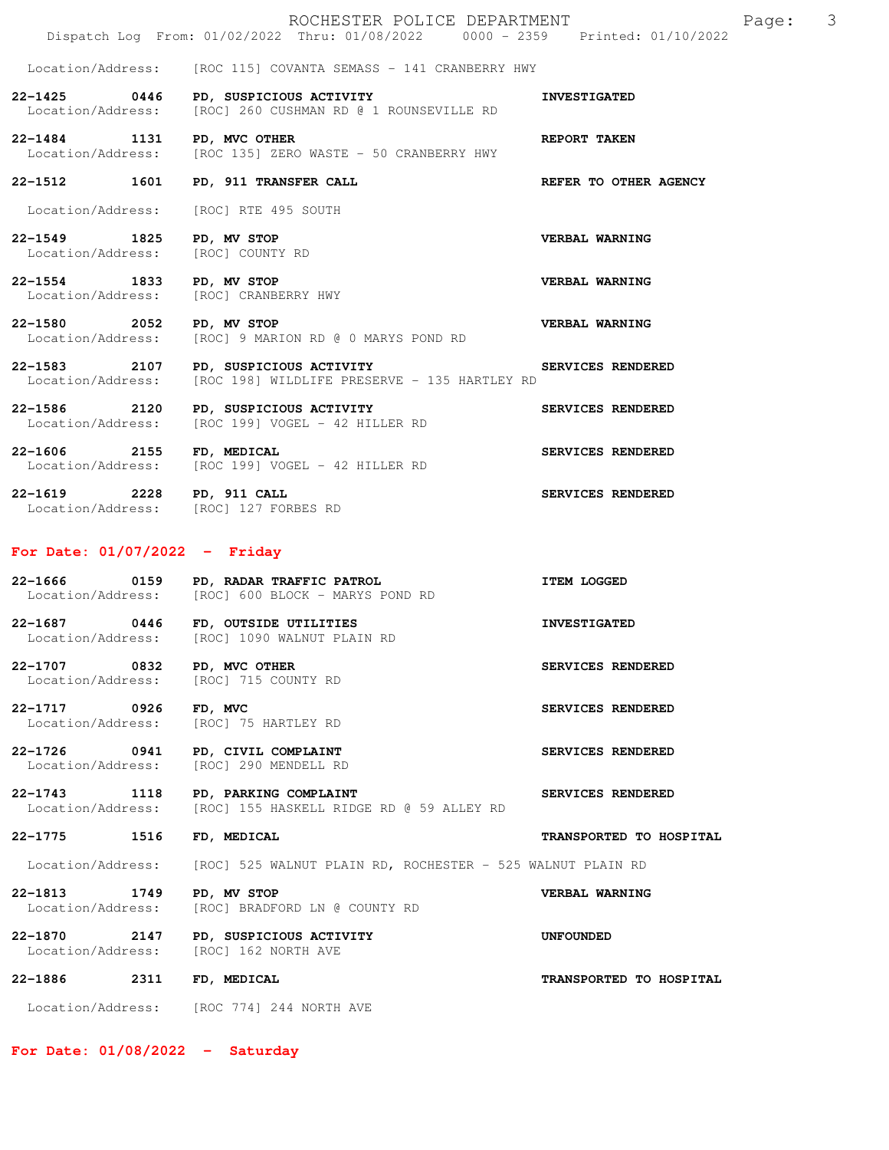|                                                                    | ROCHESTER POLICE DEPARTMENT<br>Dispatch Log From: 01/02/2022 Thru: 01/08/2022 0000 - 2359 Printed: 01/10/2022 | 3<br>Page:              |
|--------------------------------------------------------------------|---------------------------------------------------------------------------------------------------------------|-------------------------|
| Location/Address:                                                  | [ROC 115] COVANTA SEMASS - 141 CRANBERRY HWY                                                                  |                         |
| $22 - 1425$ 0446<br>Location/Address:                              | PD, SUSPICIOUS ACTIVITY<br>[ROC] 260 CUSHMAN RD @ 1 ROUNSEVILLE RD                                            | <b>INVESTIGATED</b>     |
| 22-1484 1131 PD, MVC OTHER                                         | Location/Address: [ROC 135] ZERO WASTE - 50 CRANBERRY HWY                                                     | <b>REPORT TAKEN</b>     |
| 22-1512 1601                                                       | PD, 911 TRANSFER CALL                                                                                         | REFER TO OTHER AGENCY   |
|                                                                    | Location/Address: [ROC] RTE 495 SOUTH                                                                         |                         |
| 22–1549 1825<br>Location/Address: [ROC] COUNTY RD                  | PD, MV STOP                                                                                                   | VERBAL WARNING          |
| 22-1554 1833                                                       | PD, MV STOP<br>Location/Address: [ROC] CRANBERRY HWY                                                          | VERBAL WARNING          |
| 22-1580 2052                                                       | PD, MV STOP<br>Location/Address: [ROC] 9 MARION RD @ 0 MARYS POND RD                                          | <b>VERBAL WARNING</b>   |
|                                                                    | 22-1583 2107 PD, SUSPICIOUS ACTIVITY<br>Location/Address: [ROC 198] WILDLIFE PRESERVE - 135 HARTLEY RD        | SERVICES RENDERED       |
| 22-1586 2120<br>Location/Address:                                  | PD, SUSPICIOUS ACTIVITY<br>[ROC 199] VOGEL - 42 HILLER RD                                                     | SERVICES RENDERED       |
| 22-1606 2155 FD, MEDICAL                                           | Location/Address: [ROC 199] VOGEL - 42 HILLER RD                                                              | SERVICES RENDERED       |
| 22-1619 2228 PD, 911 CALL<br>Location/Address: [ROC] 127 FORBES RD |                                                                                                               | SERVICES RENDERED       |
| For Date: $01/07/2022 -$ Friday                                    |                                                                                                               |                         |
| 22-1666 0159                                                       | PD, RADAR TRAFFIC PATROL<br>Location/Address: [ROC] 600 BLOCK - MARYS POND RD                                 | <b>ITEM LOGGED</b>      |
| 22-1687 0446 FD, OUTSIDE UTILITIES                                 |                                                                                                               | <b>INVESTIGATED</b>     |
|                                                                    | Location/Address: [ROC] 1090 WALNUT PLAIN RD                                                                  |                         |
| 22-1707 0832 PD, MVC OTHER                                         | Location/Address: [ROC] 715 COUNTY RD                                                                         | SERVICES RENDERED       |
| 22-1717 0926<br>Location/Address:                                  | FD, MVC<br>[ROC] 75 HARTLEY RD                                                                                | SERVICES RENDERED       |
| 22-1726 0941<br>Location/Address:                                  | PD, CIVIL COMPLAINT<br>[ROC] 290 MENDELL RD                                                                   | SERVICES RENDERED       |
| 22-1743 1118<br>Location/Address:                                  | PD, PARKING COMPLAINT<br>[ROC] 155 HASKELL RIDGE RD @ 59 ALLEY RD                                             | SERVICES RENDERED       |
| 22–1775<br>1516                                                    | FD, MEDICAL                                                                                                   | TRANSPORTED TO HOSPITAL |
| Location/Address:                                                  | [ROC] 525 WALNUT PLAIN RD, ROCHESTER - 525 WALNUT PLAIN RD                                                    |                         |
| 22-1813 1749<br>Location/Address:                                  | PD, MV STOP<br>[ROC] BRADFORD LN @ COUNTY RD                                                                  | VERBAL WARNING          |
| 22-1870 2147<br>Location/Address:                                  | PD, SUSPICIOUS ACTIVITY<br>[ROC] 162 NORTH AVE                                                                | UNFOUNDED               |
| 22-1886<br>2311                                                    | FD, MEDICAL                                                                                                   | TRANSPORTED TO HOSPITAL |

**For Date: 01/08/2022 - Saturday**